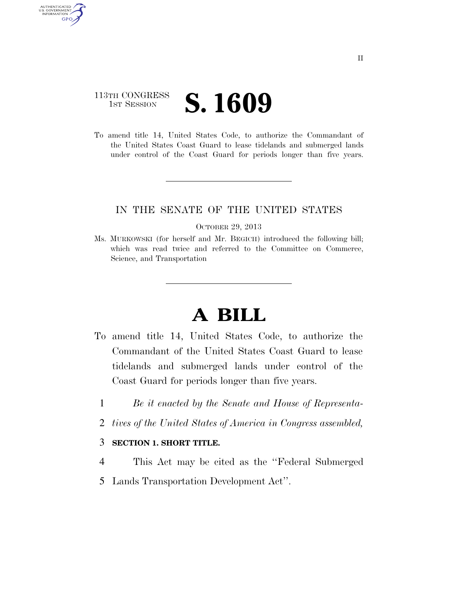# 113TH CONGRESS **IST SESSION S. 1609**

AUTHENTICATED U.S. GOVERNMENT **GPO** 

> To amend title 14, United States Code, to authorize the Commandant of the United States Coast Guard to lease tidelands and submerged lands under control of the Coast Guard for periods longer than five years.

## IN THE SENATE OF THE UNITED STATES

#### OCTOBER 29, 2013

Ms. MURKOWSKI (for herself and Mr. BEGICH) introduced the following bill; which was read twice and referred to the Committee on Commerce, Science, and Transportation

# **A BILL**

- To amend title 14, United States Code, to authorize the Commandant of the United States Coast Guard to lease tidelands and submerged lands under control of the Coast Guard for periods longer than five years.
	- 1 *Be it enacted by the Senate and House of Representa-*
	- 2 *tives of the United States of America in Congress assembled,*

## 3 **SECTION 1. SHORT TITLE.**

- 4 This Act may be cited as the ''Federal Submerged
- 5 Lands Transportation Development Act''.